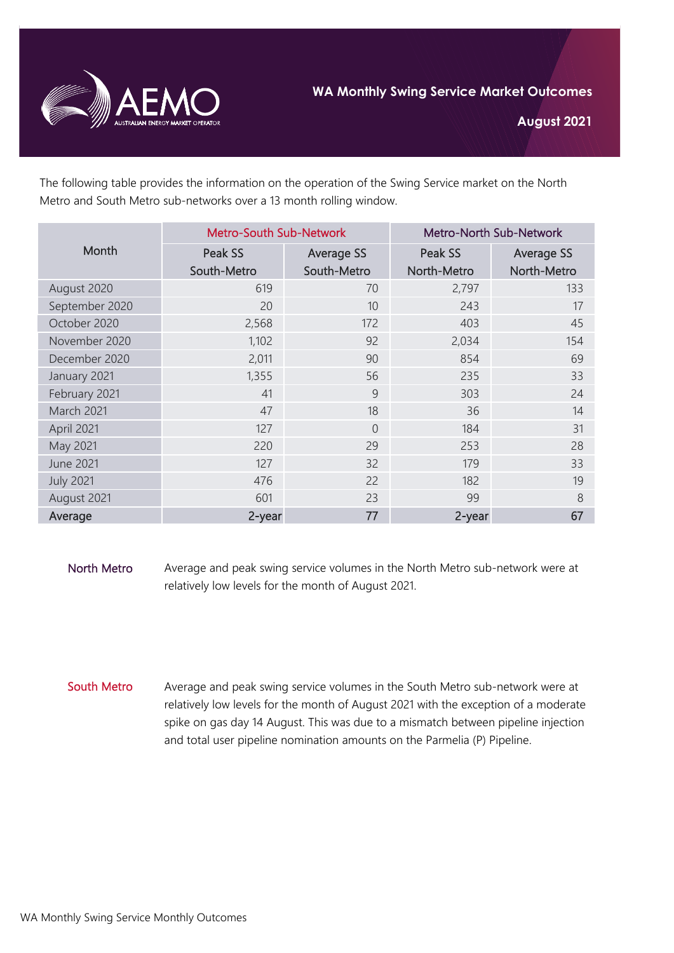

**August 2021**

The following table provides the information on the operation of the Swing Service market on the North Metro and South Metro sub-networks over a 13 month rolling window.

| Month            | <b>Metro-South Sub-Network</b> |                   | Metro-North Sub-Network |                   |
|------------------|--------------------------------|-------------------|-------------------------|-------------------|
|                  | Peak SS                        | <b>Average SS</b> | Peak SS                 | <b>Average SS</b> |
|                  | South-Metro                    | South-Metro       | North-Metro             | North-Metro       |
| August 2020      | 619                            | 70                | 2,797                   | 133               |
| September 2020   | 20                             | 10                | 243                     | 17                |
| October 2020     | 2,568                          | 172               | 403                     | 45                |
| November 2020    | 1,102                          | 92                | 2,034                   | 154               |
| December 2020    | 2,011                          | 90                | 854                     | 69                |
| January 2021     | 1,355                          | 56                | 235                     | 33                |
| February 2021    | 41                             | 9                 | 303                     | 24                |
| March 2021       | 47                             | 18                | 36                      | 14                |
| April 2021       | 127                            | $\overline{0}$    | 184                     | 31                |
| May 2021         | 220                            | 29                | 253                     | 28                |
| <b>June 2021</b> | 127                            | 32                | 179                     | 33                |
| <b>July 2021</b> | 476                            | 22                | 182                     | 19                |
| August 2021      | 601                            | 23                | 99                      | 8                 |
| Average          | 2-year                         | 77                | 2-year                  | 67                |

North Metro Average and peak swing service volumes in the North Metro sub-network were at relatively low levels for the month of August 2021.

South Metro Average and peak swing service volumes in the South Metro sub-network were at relatively low levels for the month of August 2021 with the exception of a moderate spike on gas day 14 August. This was due to a mismatch between pipeline injection and total user pipeline nomination amounts on the Parmelia (P) Pipeline.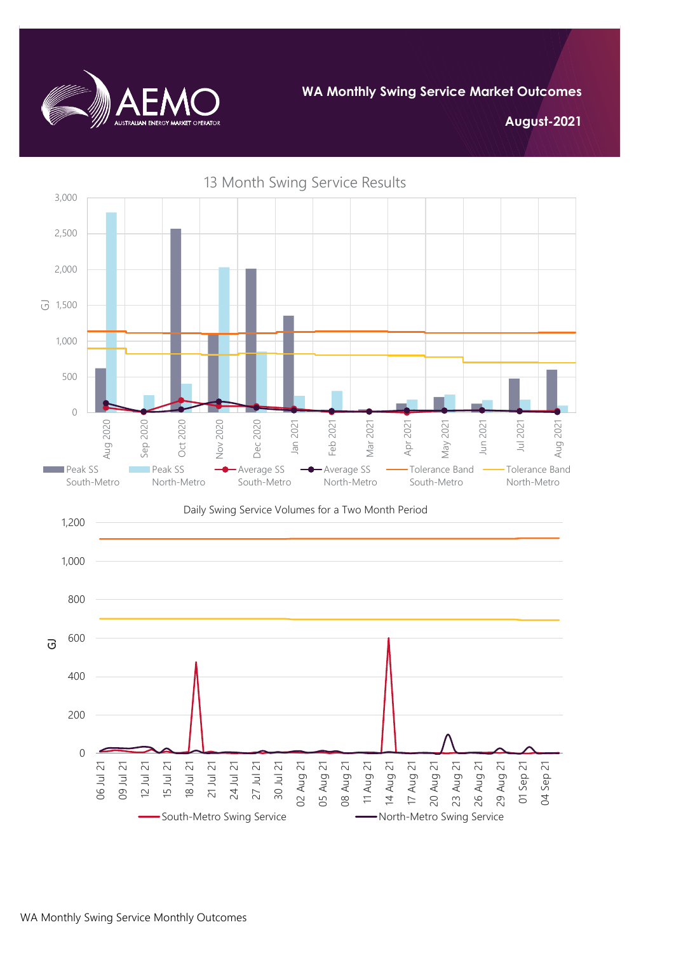

**WA Monthly Swing Service Market Outcomes**

**August-2021**